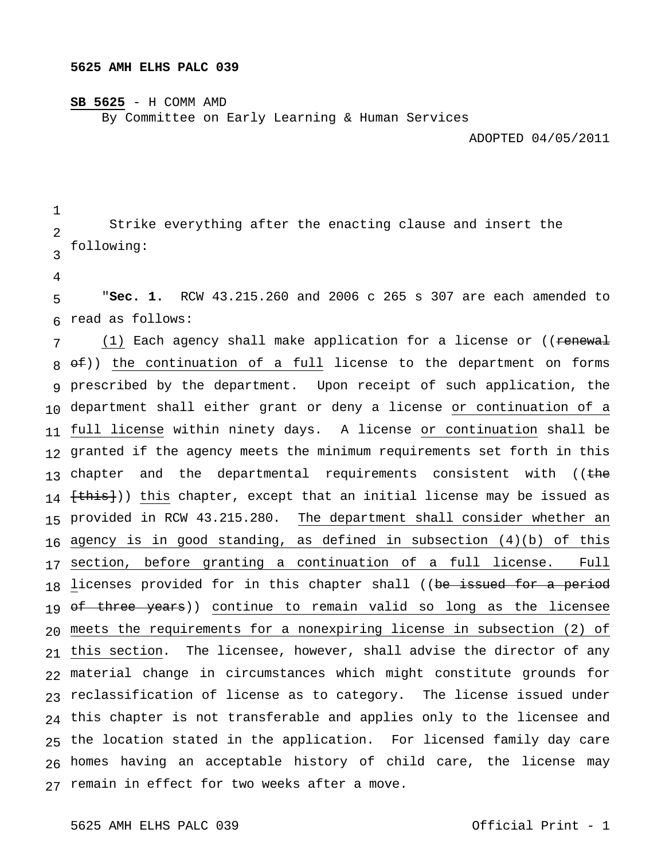## **5625 AMH ELHS PALC 039**

## **SB 5625** - H COMM AMD

By Committee on Early Learning & Human Services

ADOPTED 04/05/2011

 $\mathfrak{D}$ 3 Strike everything after the enacting clause and insert the following:

4

1

5 6 "**Sec. 1.** RCW 43.215.260 and 2006 c 265 s 307 are each amended to read as follows:

7 8 of)) the continuation of a full license to the department on forms 9 prescribed by the department. Upon receipt of such application, the 10 department shall either grant or deny a license <u>or continuation of a</u> 11 <u>full license</u> within ninety days. A license <u>or continuation</u> shall be 12 granted if the agency meets the minimum requirements set forth in this 13 chapter and the departmental requirements consistent with ((<del>the</del> 14 <del>[this]</del>)) <u>this</u> chapter, except that an initial license may be issued as 15 provided in RCW 43.215.280. The department shall consider whether an 16 17 18 19 <del>of three years</del>)) continue to remain valid so long as the licensee 20 meets the requirements for a nonexpiring license in subsection (2) of 21 this section. The licensee, however, shall advise the director of any 22 material change in circumstances which might constitute grounds for 23 reclassification of license as to category. The license issued under 24 this chapter is not transferable and applies only to the licensee and 25 the location stated in the application. For licensed family day care 26 homes having an acceptable history of child care, the license may 27 remain in effect for two weeks after a move. (1) Each agency shall make application for a license or ((<del>renewal</del> agency is in good standing, as defined in subsection  $(4)(b)$  of this section, before granting a continuation of a full license. Full licenses provided for in this chapter shall ((be issued for a period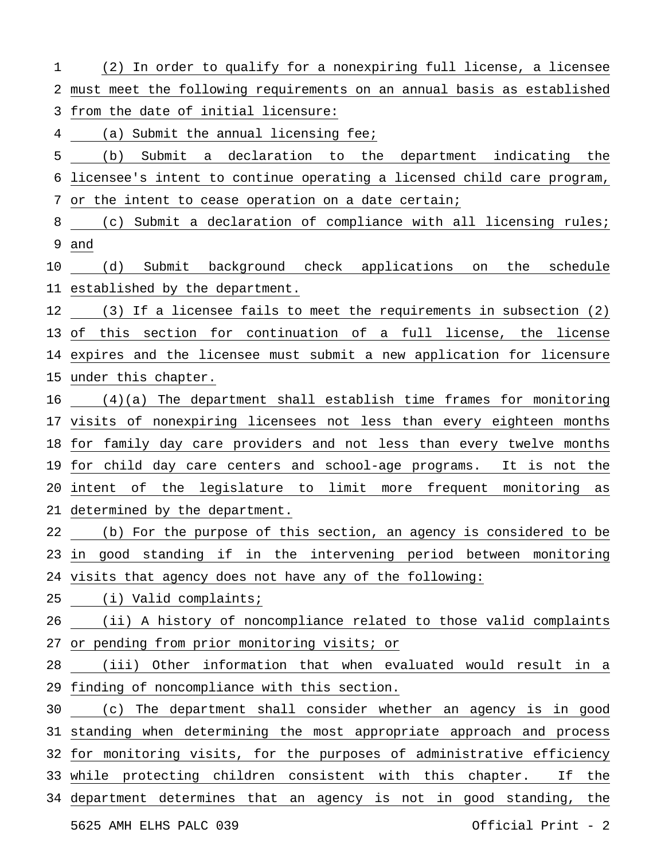| 1  | (2) In order to qualify for a nonexpiring full license, a licensee       |
|----|--------------------------------------------------------------------------|
| 2  | must meet the following requirements on an annual basis as established   |
| 3  | from the date of initial licensure:                                      |
| 4  | (a) Submit the annual licensing fee;                                     |
| 5  | (b) Submit a declaration to the department indicating the                |
|    | 6 licensee's intent to continue operating a licensed child care program, |
|    | 7 or the intent to cease operation on a date certain;                    |
|    | 8 (c) Submit a declaration of compliance with all licensing rules;       |
|    | 9 and                                                                    |
|    | 10 (d) Submit background check applications on the schedule              |
|    | 11 established by the department.                                        |
|    | 12 (3) If a licensee fails to meet the requirements in subsection (2)    |
|    | 13 of this section for continuation of a full license, the license       |
|    | 14 expires and the licensee must submit a new application for licensure  |
|    | 15 under this chapter.                                                   |
|    | 16 (4)(a) The department shall establish time frames for monitoring      |
|    | 17 visits of nonexpiring licensees not less than every eighteen months   |
|    | 18 for family day care providers and not less than every twelve months   |
|    | 19 for child day care centers and school-age programs. It is not the     |
|    | 20 intent of the legislature to limit more frequent monitoring as        |
|    | 21 determined by the department.                                         |
|    | 22 (b) For the purpose of this section, an agency is considered to be    |
|    | 23 in good standing if in the intervening period between monitoring      |
|    | 24 visits that agency does not have any of the following:                |
| 25 | (i) Valid complaints;                                                    |
| 26 | (ii) A history of noncompliance related to those valid complaints        |
|    | 27 or pending from prior monitoring visits; or                           |
| 28 | (iii) Other information that when evaluated would result in a            |
|    | 29 finding of noncompliance with this section.                           |
| 30 | (c) The department shall consider whether an agency is in good           |
|    | 31 standing when determining the most appropriate approach and process   |
|    | 32 for monitoring visits, for the purposes of administrative efficiency  |
|    | 33 while protecting children consistent with this chapter.<br>If the     |
|    | 34 department determines that an agency is not in good standing, the     |
|    | Official Print - 2<br>5625 AMH ELHS PALC 039                             |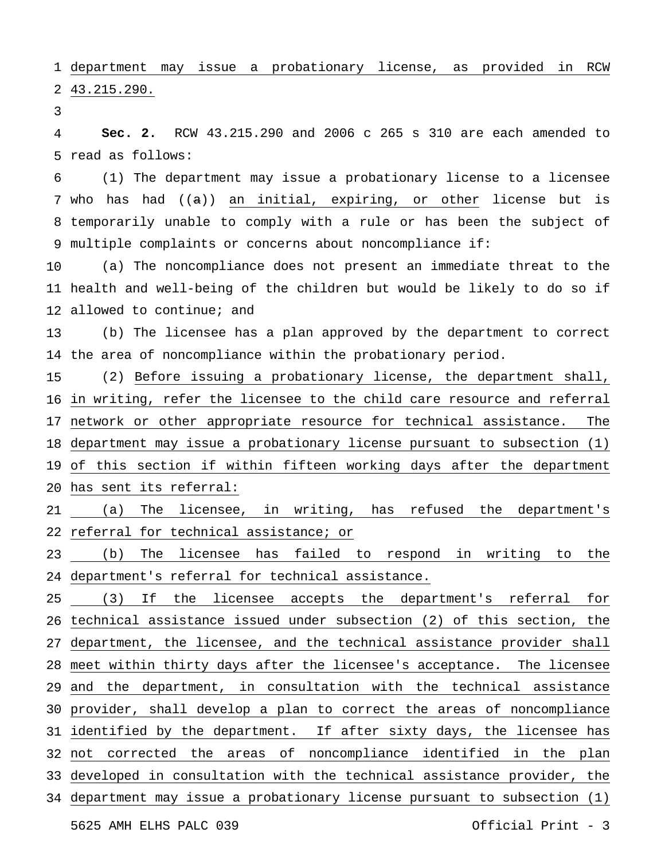department may issue a probationary license, as provided in RCW 43.215.290.

 read as follows: **Sec. 2.** RCW 43.215.290 and 2006 c 265 s 310 are each amended to

 who has had ((a)) an initial, expiring, or other license but is temporarily unable to comply with a rule or has been the subject of multiple complaints or concerns about noncompliance if: (1) The department may issue a probationary license to a licensee

 health and well-being of the children but would be likely to do so if allowed to continue; and (a) The noncompliance does not present an immediate threat to the

 the area of noncompliance within the probationary period. (b) The licensee has a plan approved by the department to correct

 16 in writing, refer the licensee to the child care resource and referral 17 network or other appropriate resource for technical assistance. The department may issue a probationary license pursuant to subsection (1) of this section if within fifteen working days after the department has sent its referral: (2) Before issuing a probationary license, the department shall,

 referral for technical assistance; or (a) The licensee, in writing, has refused the department's

 department's referral for technical assistance. (b) The licensee has failed to respond in writing to the

5625 AMH ELHS PALC 039 Official Print - 3 technical assistance issued under subsection (2) of this section, the 27 department, the licensee, and the technical assistance provider shall meet within thirty days after the licensee's acceptance. The licensee and the department, in consultation with the technical assistance provider, shall develop a plan to correct the areas of noncompliance identified by the department. If after sixty days, the licensee has not corrected the areas of noncompliance identified in the plan developed in consultation with the technical assistance provider, the department may issue a probationary license pursuant to subsection (1) (3) If the licensee accepts the department's referral for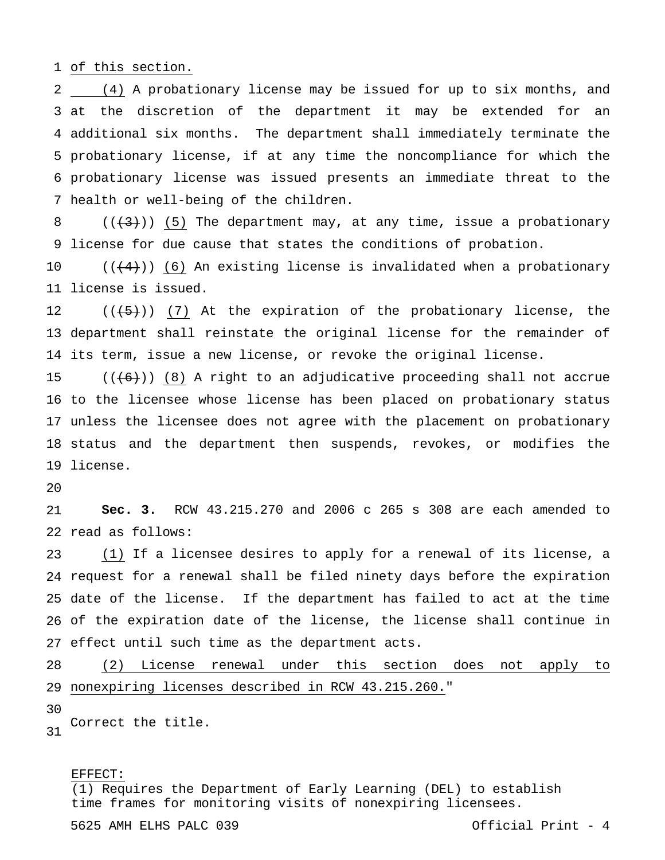of this section.

 (4) A probationary license may be issued for up to six months, and at the discretion of the department it may be extended for an additional six months. The department shall immediately terminate the probationary license, if at any time the noncompliance for which the probationary license was issued presents an immediate threat to the health or well-being of the children.

 license for due cause that states the conditions of probation.  $((+3))$  (5) The department may, at any time, issue a probationary

 license is issued.  $((+4))$  (6) An existing license is invalidated when a probationary

 department shall reinstate the original license for the remainder of its term, issue a new license, or revoke the original license.  $((+5))$  (7) At the expiration of the probationary license, the

 to the licensee whose license has been placed on probationary status unless the licensee does not agree with the placement on probationary status and the department then suspends, revokes, or modifies the license.  $((\langle 6 \rangle) )$  (8) A right to an adjudicative proceeding shall not accrue

 read as follows: **Sec. 3.** RCW 43.215.270 and 2006 c 265 s 308 are each amended to

 request for a renewal shall be filed ninety days before the expiration date of the license. If the department has failed to act at the time of the expiration date of the license, the license shall continue in effect until such time as the department acts. (1) If a licensee desires to apply for a renewal of its license, a

 nonexpiring licenses described in RCW 43.215.260." (2) License renewal under this section does not apply to

 Correct the title.

## EFFECT:

(1) Requires the Department of Early Learning (DEL) to establish time frames for monitoring visits of nonexpiring licensees.

5625 AMH ELHS PALC 039 Official Print - 4